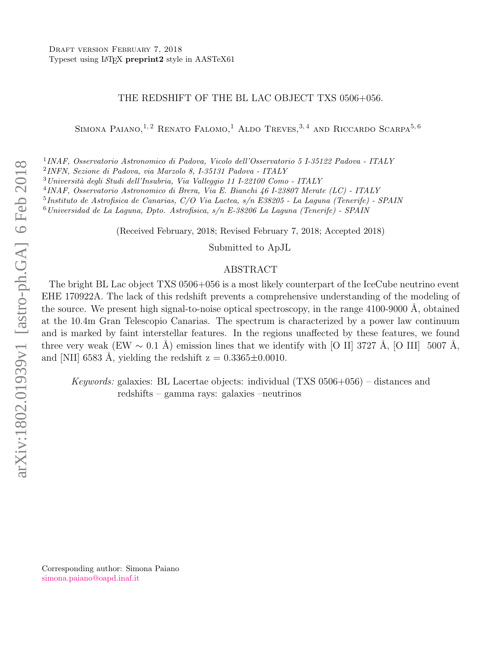# THE REDSHIFT OF THE BL LAC OBJECT TXS 0506+056.

SIMONA PAIANO, <sup>1, 2</sup> RENATO FALOMO,<sup>1</sup> ALDO TREVES, <sup>3, 4</sup> AND RICCARDO SCARPA<sup>5, 6</sup>

1 INAF, Osservatorio Astronomico di Padova, Vicolo dell'Osservatorio 5 I-35122 Padova - ITALY

2 INFN, Sezione di Padova, via Marzolo 8, I-35131 Padova - ITALY

<sup>3</sup>Universit`a degli Studi dell'Insubria, Via Valleggio 11 I-22100 Como - ITALY

4 INAF, Osservatorio Astronomico di Brera, Via E. Bianchi 46 I-23807 Merate (LC) - ITALY

5 Instituto de Astrofisica de Canarias, C/O Via Lactea, s/n E38205 - La Laguna (Tenerife) - SPAIN

 $6$ Universidad de La Laguna, Dpto. Astrofisica, s/n E-38206 La Laguna (Tenerife) - SPAIN

(Received February, 2018; Revised February 7, 2018; Accepted 2018)

Submitted to ApJL

### ABSTRACT

The bright BL Lac object TXS 0506+056 is a most likely counterpart of the IceCube neutrino event EHE 170922A. The lack of this redshift prevents a comprehensive understanding of the modeling of the source. We present high signal-to-noise optical spectroscopy, in the range 4100-9000 A, obtained at the 10.4m Gran Telescopio Canarias. The spectrum is characterized by a power law continuum and is marked by faint interstellar features. In the regions unaffected by these features, we found three very weak (EW  $\sim 0.1$  Å) emission lines that we identify with [O II] 3727 Å, [O III] 5007 Å, and [NII] 6583 Å, yielding the redshift  $z = 0.3365 \pm 0.0010$ .

Keywords: galaxies: BL Lacertae objects: individual (TXS 0506+056) – distances and redshifts – gamma rays: galaxies –neutrinos

Corresponding author: Simona Paiano [simona.paiano@oapd.inaf.it](mailto: simona.paiano@oapd.inaf.it)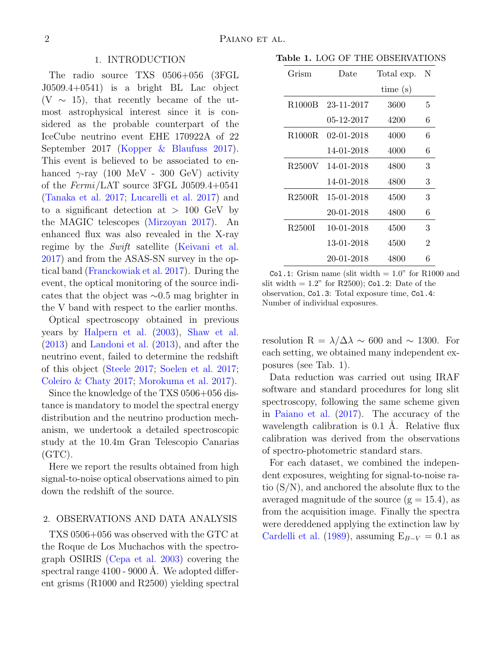# 1. INTRODUCTION

The radio source TXS 0506+056 (3FGL J0509.4+0541) is a bright BL Lac object  $(V \sim 15)$ , that recently became of the utmost astrophysical interest since it is considered as the probable counterpart of the IceCube neutrino event EHE 170922A of 22 September 2017 [\(Kopper & Blaufuss](#page-6-0) [2017\)](#page-6-0). This event is believed to be associated to enhanced  $\gamma$ -ray (100 MeV - 300 GeV) activity of the Fermi/LAT source 3FGL J0509.4+0541 [\(Tanaka et al.](#page-6-1) [2017;](#page-6-1) [Lucarelli et al.](#page-6-2) [2017\)](#page-6-2) and to a significant detection at  $> 100 \text{ GeV}$  by the MAGIC telescopes [\(Mirzoyan](#page-6-3) [2017\)](#page-6-3). An enhanced flux was also revealed in the X-ray regime by the Swift satellite [\(Keivani et al.](#page-6-4) [2017\)](#page-6-4) and from the ASAS-SN survey in the optical band [\(Franckowiak et al.](#page-6-5) [2017\)](#page-6-5). During the event, the optical monitoring of the source indicates that the object was ∼0.5 mag brighter in the V band with respect to the earlier months.

Optical spectroscopy obtained in previous years by [Halpern et al.](#page-6-6) [\(2003\)](#page-6-6), [Shaw et al.](#page-6-7) [\(2013\)](#page-6-7) and [Landoni et al.](#page-6-8) [\(2013\)](#page-6-8), and after the neutrino event, failed to determine the redshift of this object [\(Steele](#page-6-9) [2017;](#page-6-9) [Soelen et al.](#page-6-10) [2017;](#page-6-10) [Coleiro & Chaty](#page-6-11) [2017;](#page-6-11) [Morokuma et al.](#page-6-12) [2017\)](#page-6-12).

Since the knowledge of the TXS 0506+056 distance is mandatory to model the spectral energy distribution and the neutrino production mechanism, we undertook a detailed spectroscopic study at the 10.4m Gran Telescopio Canarias  $(GTC)$ .

Here we report the results obtained from high signal-to-noise optical observations aimed to pin down the redshift of the source.

# 2. OBSERVATIONS AND DATA ANALYSIS

TXS 0506+056 was observed with the GTC at the Roque de Los Muchachos with the spectrograph OSIRIS [\(Cepa et al.](#page-6-13) [2003\)](#page-6-13) covering the spectral range  $4100 - 9000$  Å. We adopted different grisms (R1000 and R2500) yielding spectral

Table 1. LOG OF THE OBSERVATIONS

| Grism               | Date       | Total exp. | N              |
|---------------------|------------|------------|----------------|
|                     |            | time(s)    |                |
| R <sub>1000</sub> B | 23-11-2017 | 3600       | 5              |
|                     | 05-12-2017 | 4200       | 6              |
| R <sub>1000</sub> R | 02-01-2018 | 4000       | 6              |
|                     | 14-01-2018 | 4000       | 6              |
| R <sub>2500</sub> V | 14-01-2018 | 4800       | 3              |
|                     | 14-01-2018 | 4800       | 3              |
| R <sub>2500</sub> R | 15-01-2018 | 4500       | 3              |
|                     | 20-01-2018 | 4800       | 6              |
| R <sub>2500</sub> I | 10-01-2018 | 4500       | 3              |
|                     | 13-01-2018 | 4500       | $\overline{2}$ |
|                     | 20-01-2018 | 4800       | 6              |

Col.1: Grism name (slit width  $= 1.0$ " for R1000 and slit width  $= 1.2$ " for R2500); Col. 2: Date of the observation, Col.3: Total exposure time, Col.4: Number of individual exposures.

resolution R =  $\lambda/\Delta\lambda \sim 600$  and ~ 1300. For each setting, we obtained many independent exposures (see Tab. 1).

Data reduction was carried out using IRAF software and standard procedures for long slit spectroscopy, following the same scheme given in [Paiano et al.](#page-6-14) [\(2017\)](#page-6-14). The accuracy of the wavelength calibration is  $0.1$  Å. Relative flux calibration was derived from the observations of spectro-photometric standard stars.

For each dataset, we combined the independent exposures, weighting for signal-to-noise ratio (S/N), and anchored the absolute flux to the averaged magnitude of the source  $(g = 15.4)$ , as from the acquisition image. Finally the spectra were dereddened applying the extinction law by [Cardelli et al.](#page-6-15) [\(1989\)](#page-6-15), assuming  $E_{B-V} = 0.1$  as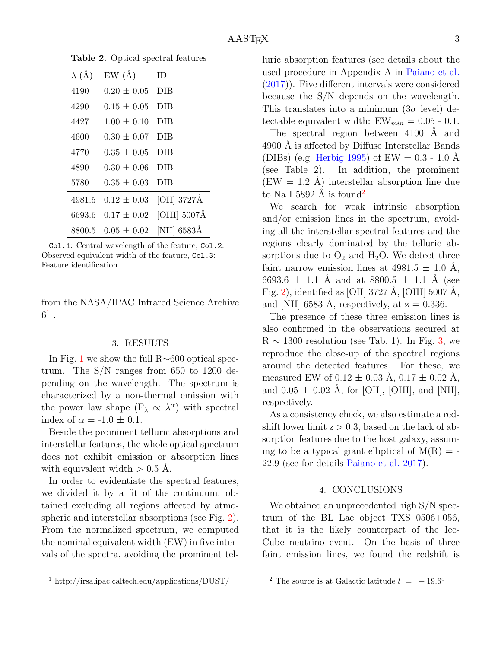| $\lambda$ (Å) | EW(A)           | ID           |
|---------------|-----------------|--------------|
| 4190          | $0.20 + 0.05$   | DIB          |
| 4290          | $0.15 + 0.05$   | DIB          |
| 4427          | $1.00 \pm 0.10$ | DIB          |
| 4600          | $0.30 \pm 0.07$ | DIB          |
| 4770          | $0.35\pm0.05$   | DIB          |
| 4890          | $0.30 \pm 0.06$ | DIB          |
| 5780          | $0.35 \pm 0.03$ | DIB          |
| 4981.5        | $0.12 \pm 0.03$ | [OII] 3727Å  |
| 6693.6        | $0.17 \pm 0.02$ | [OIII] 5007Å |
| 8800.5        | $0.05 \pm 0.02$ | [NII] 6583Å  |

Table 2. Optical spectral features

Col.1: Central wavelength of the feature; Col.2: Observed equivalent width of the feature, Col.3: Feature identification.

from the NASA/IPAC Infrared Science Archive  $6^1$  $6^1$  .

#### 3. RESULTS

In Fig. [1](#page-3-0) we show the full R∼600 optical spectrum. The S/N ranges from 650 to 1200 depending on the wavelength. The spectrum is characterized by a non-thermal emission with the power law shape  $(F_{\lambda} \propto \lambda^{\alpha})$  with spectral index of  $\alpha = -1.0 \pm 0.1$ .

Beside the prominent telluric absorptions and interstellar features, the whole optical spectrum does not exhibit emission or absorption lines with equivalent width  $> 0.5$  Å.

In order to evidentiate the spectral features, we divided it by a fit of the continuum, obtained excluding all regions affected by atmospheric and interstellar absorptions (see Fig. [2\)](#page-4-0). From the normalized spectrum, we computed the nominal equivalent width (EW) in five intervals of the spectra, avoiding the prominent tel-

<span id="page-2-0"></span><sup>1</sup> http://irsa.ipac.caltech.edu/applications/DUST/

luric absorption features (see details about the used procedure in Appendix A in [Paiano et al.](#page-6-14) [\(2017\)](#page-6-14)). Five different intervals were considered because the S/N depends on the wavelength. This translates into a minimum  $(3\sigma$  level) detectable equivalent width:  $EW_{min} = 0.05 - 0.1$ .

The spectral region between  $4100$  Å and 4900 Å is affected by Diffuse Interstellar Bands (DIBs) (e.g. [Herbig](#page-6-16) [1995\)](#page-6-16) of EW  $= 0.3 - 1.0$  Å (see Table 2). In addition, the prominent  $(EW = 1.2 \text{ A})$  interstellar absorption line due to Na I 589[2](#page-2-1)  $\AA$  is found<sup>2</sup>.

We search for weak intrinsic absorption and/or emission lines in the spectrum, avoiding all the interstellar spectral features and the regions clearly dominated by the telluric absorptions due to  $O_2$  and  $H_2O$ . We detect three faint narrow emission lines at  $4981.5 \pm 1.0$  Å, 6693.6  $\pm$  1.1 Å and at 8800.5  $\pm$  1.1 Å (see Fig. [2\)](#page-4-0), identified as [OII] 3727 Å, [OIII] 5007 Å, and [NII] 6583 Å, respectively, at  $z = 0.336$ .

The presence of these three emission lines is also confirmed in the observations secured at  $R \sim 1300$  resolution (see Tab. 1). In Fig. [3,](#page-5-0) we reproduce the close-up of the spectral regions around the detected features. For these, we measured EW of  $0.12 \pm 0.03$  Å,  $0.17 \pm 0.02$  Å, and  $0.05 \pm 0.02$  Å, for [OII], [OIII], and [NII], respectively.

As a consistency check, we also estimate a redshift lower limit  $z > 0.3$ , based on the lack of absorption features due to the host galaxy, assuming to be a typical giant elliptical of  $M(R) = -$ 22.9 (see for details [Paiano et al.](#page-6-14) [2017\)](#page-6-14).

#### 4. CONCLUSIONS

We obtained an unprecedented high  $S/N$  spectrum of the BL Lac object TXS 0506+056, that it is the likely counterpart of the Ice-Cube neutrino event. On the basis of three faint emission lines, we found the redshift is

<span id="page-2-1"></span><sup>&</sup>lt;sup>2</sup> The source is at Galactic latitude  $l = -19.6^{\circ}$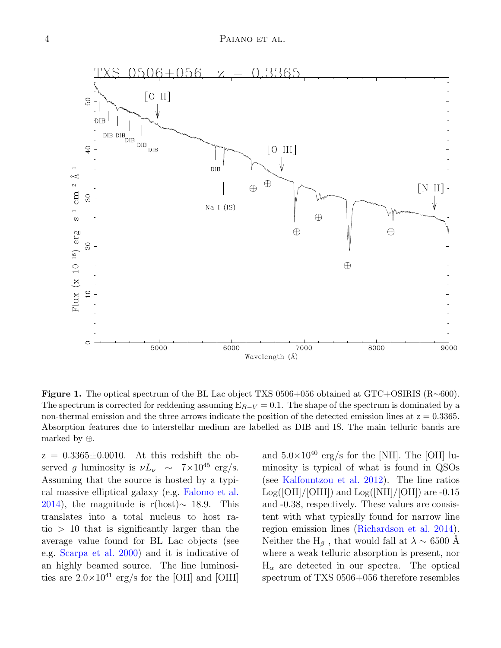

<span id="page-3-0"></span>Figure 1. The optical spectrum of the BL Lac object TXS 0506+056 obtained at GTC+OSIRIS (R∼600). The spectrum is corrected for reddening assuming  $E_{B-V} = 0.1$ . The shape of the spectrum is dominated by a non-thermal emission and the three arrows indicate the position of the detected emission lines at  $z = 0.3365$ . Absorption features due to interstellar medium are labelled as DIB and IS. The main telluric bands are marked by ⊕.

 $z = 0.3365 \pm 0.0010$ . At this redshift the observed g luminosity is  $\nu L_{\nu} \sim 7 \times 10^{45} \text{ erg/s}.$ Assuming that the source is hosted by a typical massive elliptical galaxy (e.g. [Falomo et al.](#page-6-17) [2014\)](#page-6-17), the magnitude is r(host) $\sim$  18.9. This translates into a total nucleus to host ra $tio > 10$  that is significantly larger than the average value found for BL Lac objects (see e.g. [Scarpa et al.](#page-6-18) [2000\)](#page-6-18) and it is indicative of an highly beamed source. The line luminosities are  $2.0 \times 10^{41}$  erg/s for the [OII] and [OIII]

and  $5.0\times10^{40}$  erg/s for the [NII]. The [OII] luminosity is typical of what is found in QSOs (see [Kalfountzou et al.](#page-6-19) [2012\)](#page-6-19). The line ratios  $Log([OII]/[OIII])$  and  $Log([NII]/[OII])$  are -0.15 and -0.38, respectively. These values are consistent with what typically found for narrow line region emission lines [\(Richardson et al.](#page-6-20) [2014\)](#page-6-20). Neither the H<sub>β</sub>, that would fall at  $\lambda \sim 6500$  Å where a weak telluric absorption is present, nor  $H_{\alpha}$  are detected in our spectra. The optical spectrum of TXS 0506+056 therefore resembles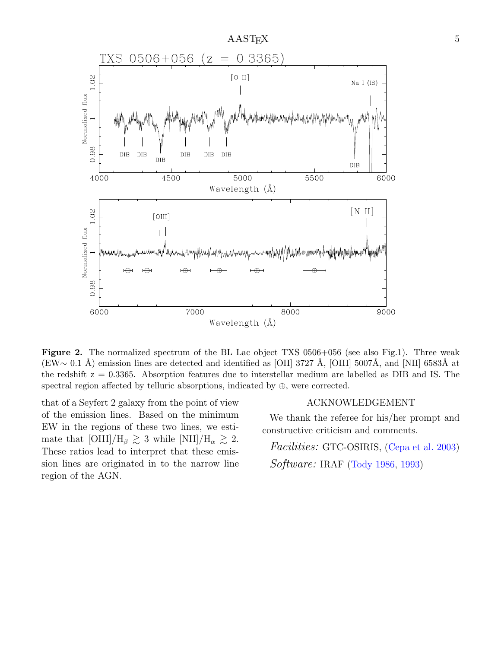

<span id="page-4-0"></span>Figure 2. The normalized spectrum of the BL Lac object TXS 0506+056 (see also Fig.1). Three weak (EW∼ 0.1 Å) emission lines are detected and identified as [OII] 3727 Å, [OIII] 5007Å, and [NII] 6583Å at the redshift z = 0.3365. Absorption features due to interstellar medium are labelled as DIB and IS. The spectral region affected by telluric absorptions, indicated by  $\oplus$ , were corrected.

that of a Seyfert 2 galaxy from the point of view of the emission lines. Based on the minimum EW in the regions of these two lines, we estimate that  $\text{[OIII]/H}_{\beta} \gtrsim 3$  while  $\text{[NII]/H}_{\alpha} \gtrsim 2$ . These ratios lead to interpret that these emission lines are originated in to the narrow line region of the AGN.

### ACKNOWLEDGEMENT

We thank the referee for his/her prompt and constructive criticism and comments.

Facilities: GTC-OSIRIS, [\(Cepa et al.](#page-6-13) [2003\)](#page-6-13) Software: IRAF [\(Tody](#page-6-21) [1986,](#page-6-21) [1993\)](#page-6-22)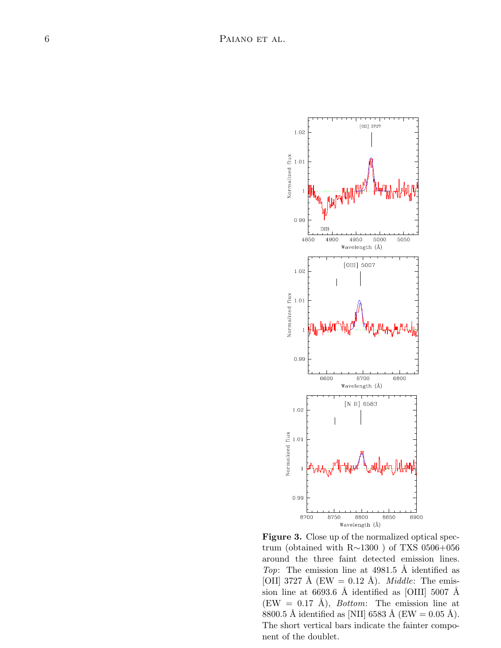

<span id="page-5-0"></span>Figure 3. Close up of the normalized optical spectrum (obtained with R∼1300 ) of TXS 0506+056 around the three faint detected emission lines. Top: The emission line at  $4981.5$  Å identified as [OII] 3727 Å (EW = 0.12 Å). *Middle*: The emission line at 6693.6 Å identified as [OIII] 5007 Å  $(EW = 0.17 \text{ Å})$ , *Bottom*: The emission line at 8800.5 Å identified as [NII] 6583 Å (EW = 0.05 Å). The short vertical bars indicate the fainter component of the doublet.